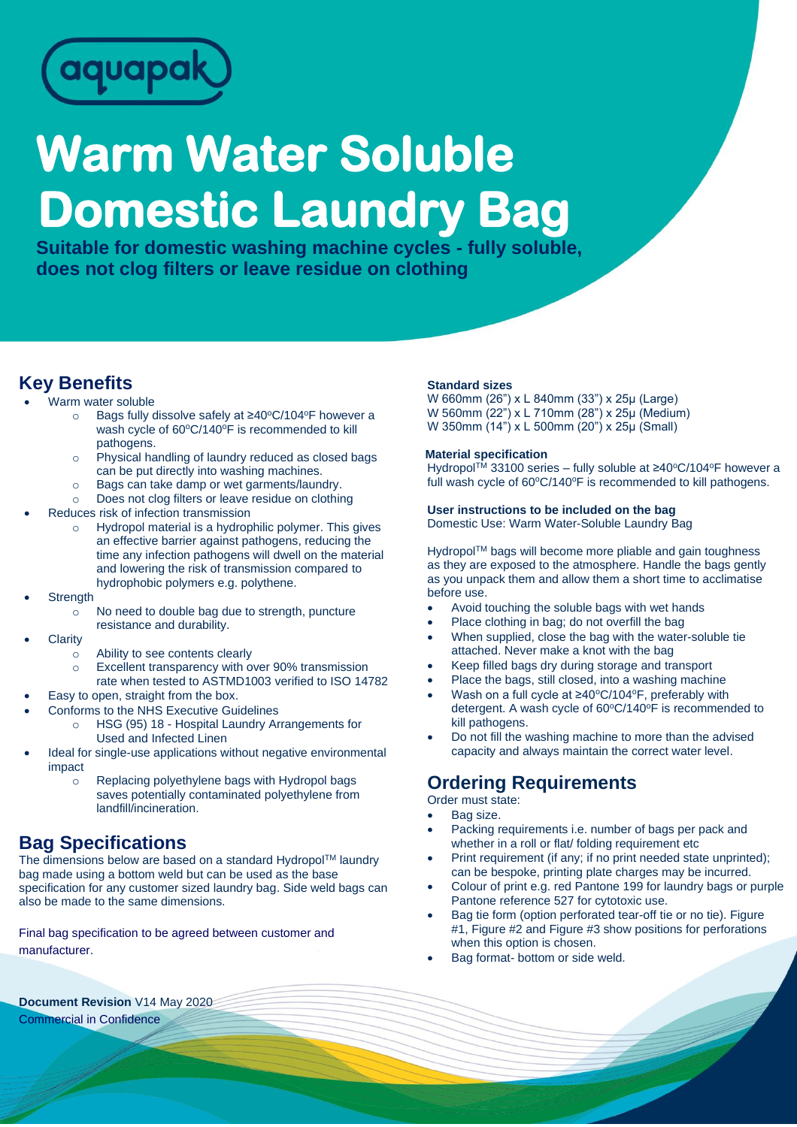

# **Warm Water Soluble Domestic Laundry Bag**

**Suitable for domestic washing machine cycles - fully soluble, does not clog filters or leave residue on clothing**

# **Key Benefits**

- Warm water soluble
	- o Bags fully dissolve safely at ≥40°C/104°F however a wash cycle of 60°C/140°F is recommended to kill pathogens.
	- o Physical handling of laundry reduced as closed bags can be put directly into washing machines.
	- o Bags can take damp or wet garments/laundry.
	- o Does not clog filters or leave residue on clothing
- Reduces risk of infection transmission
	- o Hydropol material is a hydrophilic polymer. This gives an effective barrier against pathogens, reducing the time any infection pathogens will dwell on the material and lowering the risk of transmission compared to hydrophobic polymers e.g. polythene.
- **Strength** 
	- No need to double bag due to strength, puncture resistance and durability.
- **Clarity** 
	- o Ability to see contents clearly
		- o Excellent transparency with over 90% transmission
	- rate when tested to ASTMD1003 verified to ISO 14782
- Easy to open, straight from the box.
- Conforms to the NHS Executive Guidelines
	- HSG (95) 18 Hospital Laundry Arrangements for Used and Infected Linen
- Ideal for single-use applications without negative environmental impact
	- o Replacing polyethylene bags with Hydropol bags saves potentially contaminated polyethylene from landfill/incineration.

## **Bag Specifications**

The dimensions below are based on a standard Hydropol™ laundry bag made using a bottom weld but can be used as the base specification for any customer sized laundry bag. Side weld bags can also be made to the same dimensions.

Final bag specification to be agreed between customer and manufacturer.

#### **Standard sizes**

W 660mm (26") x L 840mm (33") x 25µ (Large) W 560mm (22") x L 710mm (28") x 25µ (Medium) W 350mm (14") x L 500mm (20") x 25µ (Small)

#### **Material specification**

Hydropol™ 33100 series – fully soluble at ≥40°C/104°F however a full wash cycle of 60°C/140°F is recommended to kill pathogens.

#### **User instructions to be included on the bag**

Domestic Use: Warm Water-Soluble Laundry Bag

Hydropol™ bags will become more pliable and gain toughness as they are exposed to the atmosphere. Handle the bags gently as you unpack them and allow them a short time to acclimatise before use.

- Avoid touching the soluble bags with wet hands
- Place clothing in bag; do not overfill the bag
- When supplied, close the bag with the water-soluble tie attached. Never make a knot with the bag
- Keep filled bags dry during storage and transport
- Place the bags, still closed, into a washing machine
- Wash on a full cycle at ≥40°C/104°F, preferably with detergent. A wash cycle of 60°C/140°F is recommended to kill pathogens.
- Do not fill the washing machine to more than the advised capacity and always maintain the correct water level.

## **Ordering Requirements**

Order must state:

- Bag size.
- Packing requirements i.e. number of bags per pack and whether in a roll or flat/ folding requirement etc
- Print requirement (if any; if no print needed state unprinted); can be bespoke, printing plate charges may be incurred.
- Colour of print e.g. red Pantone 199 for laundry bags or purple Pantone reference 527 for cytotoxic use.
- Bag tie form (option perforated tear-off tie or no tie). Figure #1, Figure #2 and Figure #3 show positions for perforations when this option is chosen.
- Bag format- bottom or side weld.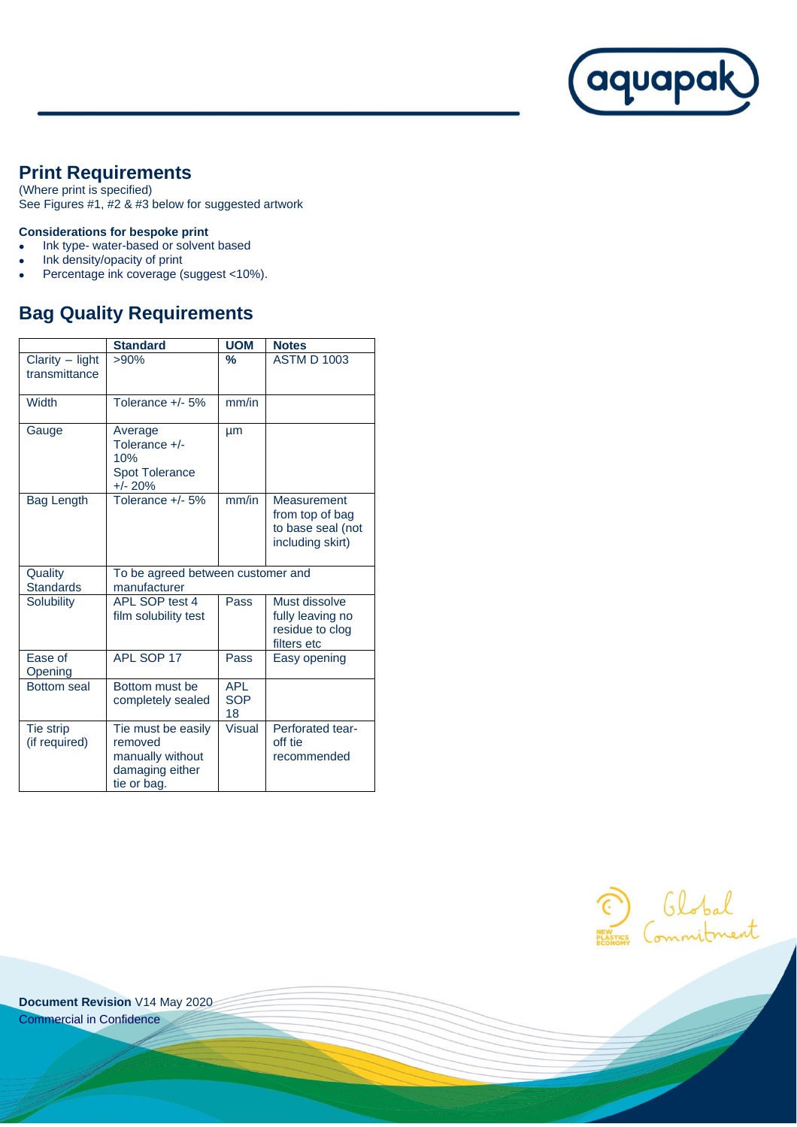

# **Print Requirements**

(Where print is specified) See Figures #1, #2 & #3 below for suggested artwork

#### **Considerations for bespoke print**

- Ink type- water-based or solvent based
- Ink density/opacity of print
- Percentage ink coverage (suggest <10%).

## **Bag Quality Requirements**

|                                  | <b>Standard</b>                                                                     | <b>UOM</b>                     | <b>Notes</b>                                                            |
|----------------------------------|-------------------------------------------------------------------------------------|--------------------------------|-------------------------------------------------------------------------|
| Clarity - light<br>transmittance | >90%                                                                                | %                              | <b>ASTM D 1003</b>                                                      |
| Width                            | Tolerance +/- 5%                                                                    | mm/in                          |                                                                         |
| Gauge                            | Average<br>Tolerance +/-<br>10%<br><b>Spot Tolerance</b><br>$+/- 20%$               | μm                             |                                                                         |
| Bag Length                       | Tolerance +/- 5%                                                                    | mm/in                          | Measurement<br>from top of bag<br>to base seal (not<br>including skirt) |
| Quality<br><b>Standards</b>      | To be agreed between customer and<br>manufacturer                                   |                                |                                                                         |
| <b>Solubility</b>                | APL SOP test 4<br>film solubility test                                              | Pass                           | Must dissolve<br>fully leaving no<br>residue to clog<br>filters etc     |
| Ease of<br>Opening               | APL SOP 17                                                                          | Pass                           | Easy opening                                                            |
| <b>Bottom</b> seal               | Bottom must be<br>completely sealed                                                 | <b>APL</b><br><b>SOP</b><br>18 |                                                                         |
| Tie strip<br>(if required)       | Tie must be easily<br>removed<br>manually without<br>damaging either<br>tie or bag. | <b>Visual</b>                  | Perforated tear-<br>off tie<br>recommended                              |

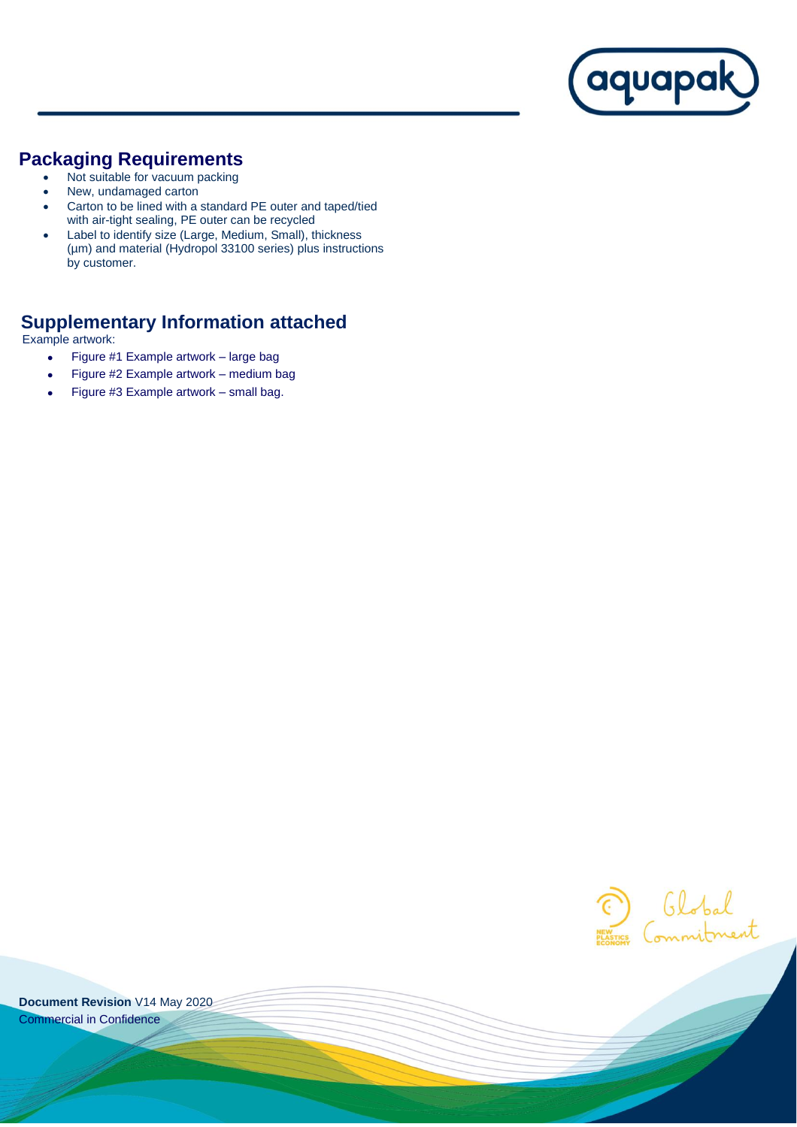

## **Packaging Requirements**

- Not suitable for vacuum packing
- New, undamaged carton
- Carton to be lined with a standard PE outer and taped/tied with air-tight sealing, PE outer can be recycled
- Label to identify size (Large, Medium, Small), thickness (µm) and material (Hydropol 33100 series) plus instructions by customer.

# **Supplementary Information attached**

Example artwork:

- Figure #1 Example artwork large bag
- Figure #2 Example artwork medium bag
- Figure #3 Example artwork small bag.

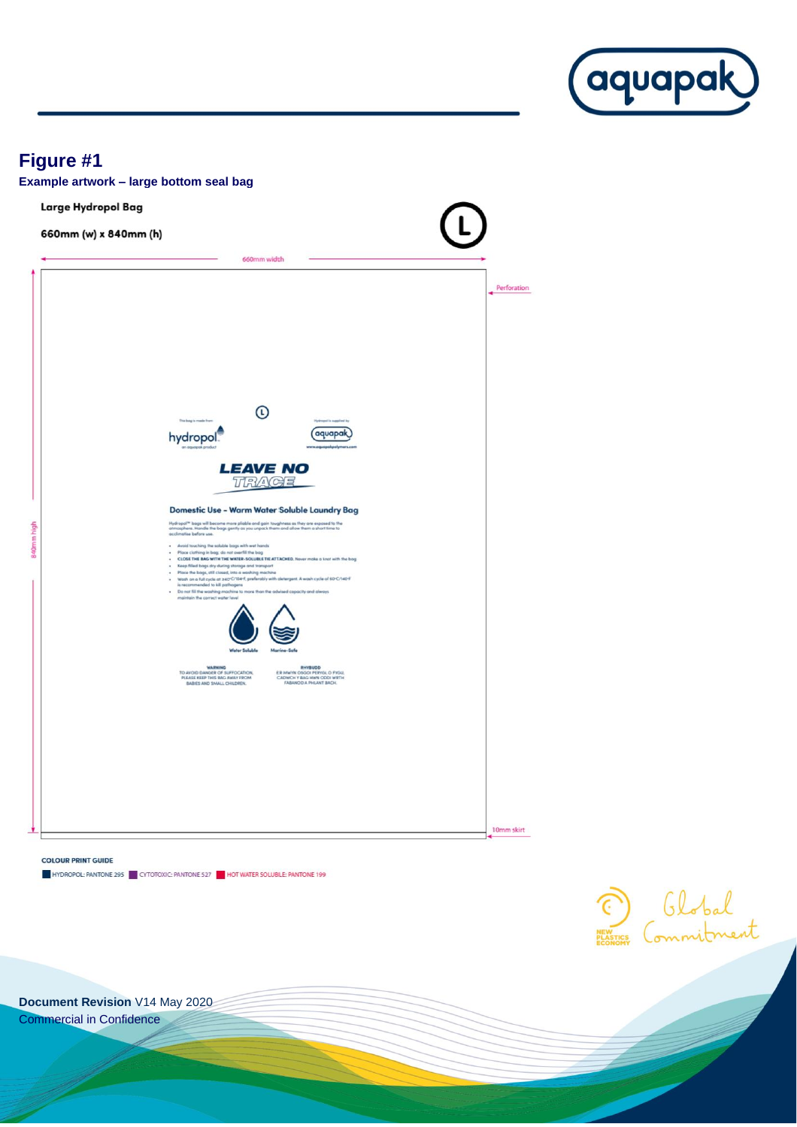

Global

# **Figure #1**



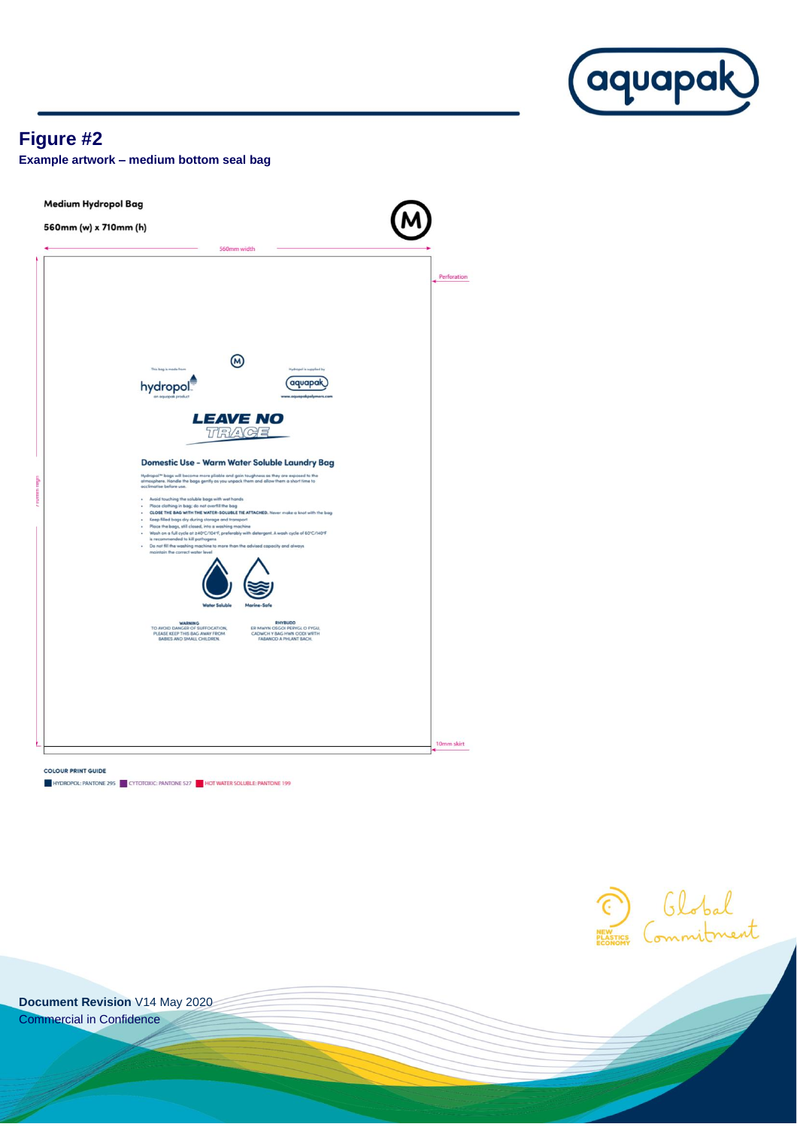

## **Figure #2**

**Example artwork – medium bottom seal bag**

Medium Hydropol Bag 560mm (w) x 710mm (h) 560mm width Perforation  $\circledR$ hydropol *aquapak* **LEAVE NO** TRAGE Domestic Use - Warm Water Soluble Laundry Bag **LOOTHESTIC USE - WATTH WATER SOILIDIE LAURATY I**<br>Hydroga<sup>19</sup> loga will become more plable and gain toughness as they are exposed to the<br>atmosphere. Handle the loga gently as you unpack them and allow them a short time to<br> Avoid touching the soluble bogs with wet hands<br>
Place dotting in bog: do not overfill the bog<br>
CLOBE THE BAG WITH PL WATER-SOUBLE THE ATTACHED. Never make a knot with the bog<br>
CLOBE THE BAG VIO af the dest, into a washing is recommended to kill paths<br>Do not fill the washing mach<br>mointain the correct water le he to more than the advi city and always 10mm skirt **COLOUR PRINT GUIDE** HYDROPOL: PANTONE 295 CYTOTOXIC: PANTONE 527 HOT WATER SOLUBLE: PANTONE 199